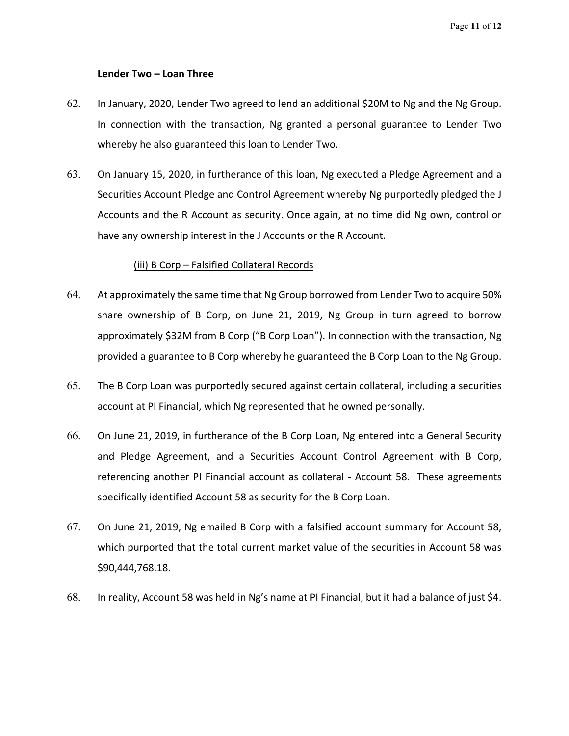**Lender Two – Loan Three** 

- 62. In January, 2020, Lender Two agreed to lend an additional \$20M to Ng and the Ng Group. In connection with the transaction, Ng granted a personal guarantee to Lender Two whereby he also guaranteed this loan to Lender Two.
- 63. On January 15, 2020, in furtherance of this loan, Ng executed a Pledge Agreement and a Securities Account Pledge and Control Agreement whereby Ng purportedly pledged the J Accounts and the R Account as security. Once again, at no time did Ng own, control or have any ownership interest in the J Accounts or the R Account.

## (iii) B Corp- Falsified Collatera Records

- 64. At approximately the same time that Ng Group borrowed from Lender Two to acquire 50% share ownership of B Corp, on June 21, 2019, Ng Group in turn agreed to borrow approximately \$32M from B Corp ("B Corp Loan"). In connection with the transaction, Ng provided a guarantee to B Corp whereby he guaranteed the B Corp Loan to the Ng Group.
- 65. The B Corp Loan was purportedly secured against certain collateral, including a securities account at PI Financial, which Ng represented that he owned personally.
- 66. On June 21, 2019, in furtherance of the B Corp Loan, Ng entered into a General Security and Pledge Agreement, and a Securities Account Control Agreement with B Corp, referencing another PI Financial account as collateral - Account 58. These agreements specifically identified Account 58 as security for the B Corp Loan.
- 67. On June 21, 2019, Ng emailed B Corp with a falsified account summary for Account 58, which purported that the total current market value of the securities in Account 58 was \$90,444,768.18.
- 68. In reality, Account 58 was held in Ng's name at PI Financial, but it had a balance of just \$4.